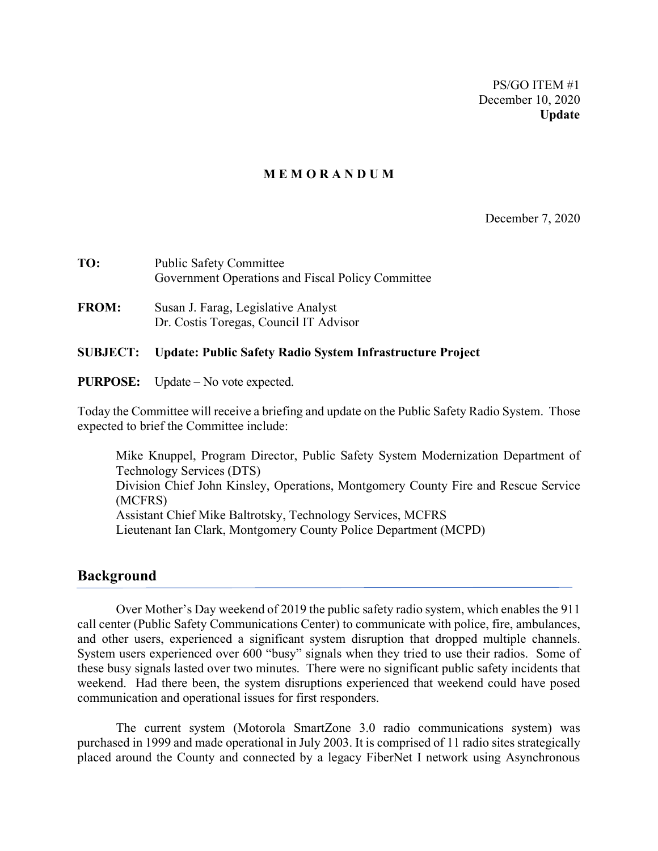PS/GO ITEM #1 December 10, 2020 **Update**

#### **M E M O R A N D U M**

December 7, 2020

| TO:          | <b>Public Safety Committee</b><br>Government Operations and Fiscal Policy Committee |
|--------------|-------------------------------------------------------------------------------------|
| <b>FROM:</b> | Susan J. Farag, Legislative Analyst<br>Dr. Costis Toregas, Council IT Advisor       |

#### **SUBJECT: Update: Public Safety Radio System Infrastructure Project**

**PURPOSE:** Update – No vote expected.

Today the Committee will receive a briefing and update on the Public Safety Radio System. Those expected to brief the Committee include:

Mike Knuppel, Program Director, Public Safety System Modernization Department of Technology Services (DTS) Division Chief John Kinsley, Operations, Montgomery County Fire and Rescue Service (MCFRS) Assistant Chief Mike Baltrotsky, Technology Services, MCFRS Lieutenant Ian Clark, Montgomery County Police Department (MCPD)

#### **Background**

Over Mother's Day weekend of 2019 the public safety radio system, which enables the 911 call center (Public Safety Communications Center) to communicate with police, fire, ambulances, and other users, experienced a significant system disruption that dropped multiple channels. System users experienced over 600 "busy" signals when they tried to use their radios. Some of these busy signals lasted over two minutes. There were no significant public safety incidents that weekend. Had there been, the system disruptions experienced that weekend could have posed communication and operational issues for first responders.

The current system (Motorola SmartZone 3.0 radio communications system) was purchased in 1999 and made operational in July 2003. It is comprised of 11 radio sites strategically placed around the County and connected by a legacy FiberNet I network using Asynchronous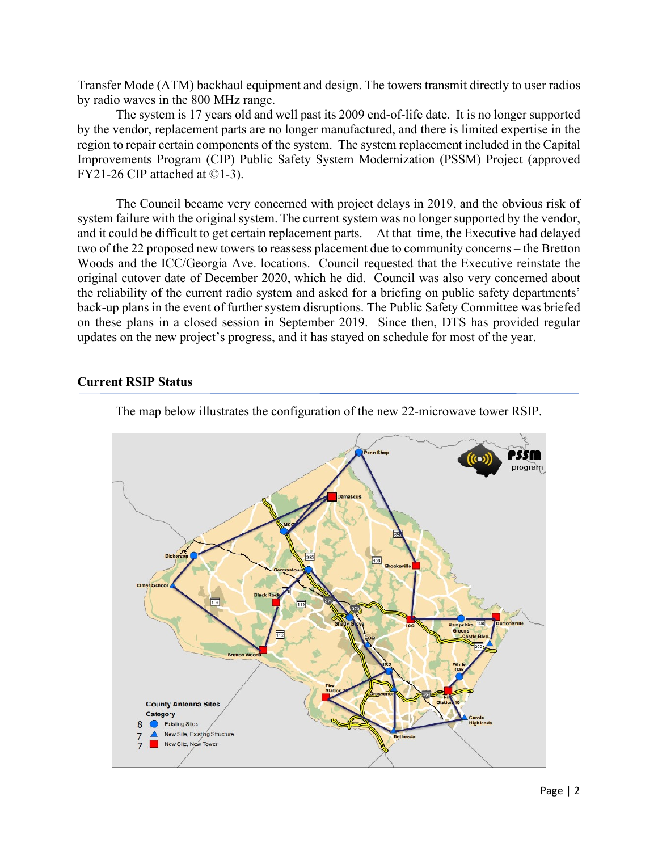Transfer Mode (ATM) backhaul equipment and design. The towers transmit directly to user radios by radio waves in the 800 MHz range.

The system is 17 years old and well past its 2009 end-of-life date. It is no longer supported by the vendor, replacement parts are no longer manufactured, and there is limited expertise in the region to repair certain components of the system. The system replacement included in the Capital Improvements Program (CIP) Public Safety System Modernization (PSSM) Project (approved FY21-26 CIP attached at ©1-3).

The Council became very concerned with project delays in 2019, and the obvious risk of system failure with the original system. The current system was no longer supported by the vendor, and it could be difficult to get certain replacement parts. At that time, the Executive had delayed two of the 22 proposed new towers to reassess placement due to community concerns – the Bretton Woods and the ICC/Georgia Ave. locations. Council requested that the Executive reinstate the original cutover date of December 2020, which he did. Council was also very concerned about the reliability of the current radio system and asked for a briefing on public safety departments' back-up plans in the event of further system disruptions. The Public Safety Committee was briefed on these plans in a closed session in September 2019. Since then, DTS has provided regular updates on the new project's progress, and it has stayed on schedule for most of the year.

#### **Current RSIP Status**



The map below illustrates the configuration of the new 22-microwave tower RSIP.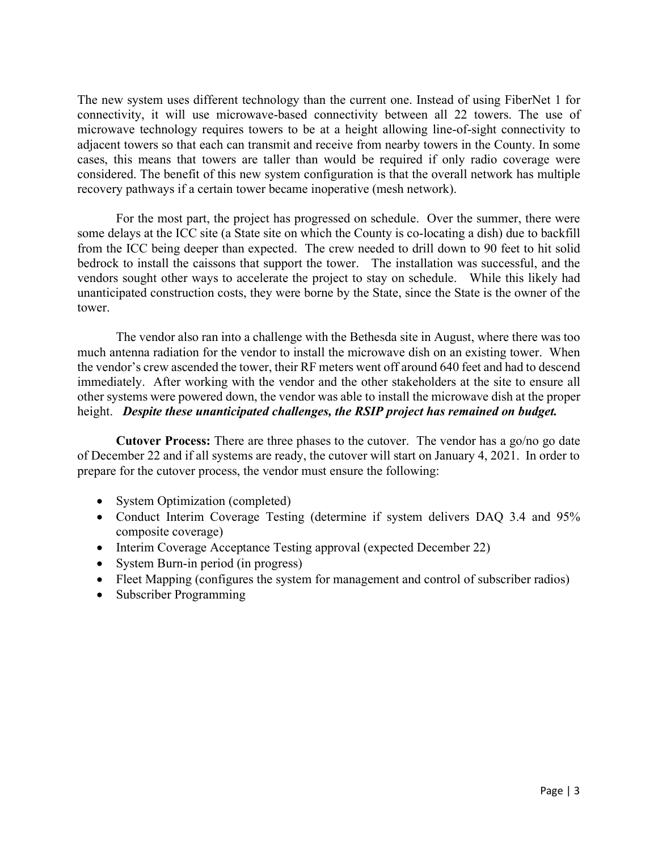The new system uses different technology than the current one. Instead of using FiberNet 1 for connectivity, it will use microwave-based connectivity between all 22 towers. The use of microwave technology requires towers to be at a height allowing line-of-sight connectivity to adjacent towers so that each can transmit and receive from nearby towers in the County. In some cases, this means that towers are taller than would be required if only radio coverage were considered. The benefit of this new system configuration is that the overall network has multiple recovery pathways if a certain tower became inoperative (mesh network).

For the most part, the project has progressed on schedule. Over the summer, there were some delays at the ICC site (a State site on which the County is co-locating a dish) due to backfill from the ICC being deeper than expected. The crew needed to drill down to 90 feet to hit solid bedrock to install the caissons that support the tower. The installation was successful, and the vendors sought other ways to accelerate the project to stay on schedule. While this likely had unanticipated construction costs, they were borne by the State, since the State is the owner of the tower.

The vendor also ran into a challenge with the Bethesda site in August, where there was too much antenna radiation for the vendor to install the microwave dish on an existing tower. When the vendor's crew ascended the tower, their RF meters went off around 640 feet and had to descend immediately. After working with the vendor and the other stakeholders at the site to ensure all other systems were powered down, the vendor was able to install the microwave dish at the proper height. *Despite these unanticipated challenges, the RSIP project has remained on budget.*

**Cutover Process:** There are three phases to the cutover. The vendor has a go/no go date of December 22 and if all systems are ready, the cutover will start on January 4, 2021. In order to prepare for the cutover process, the vendor must ensure the following:

- System Optimization (completed)
- Conduct Interim Coverage Testing (determine if system delivers DAQ 3.4 and 95% composite coverage)
- Interim Coverage Acceptance Testing approval (expected December 22)
- System Burn-in period (in progress)
- Fleet Mapping (configures the system for management and control of subscriber radios)
- Subscriber Programming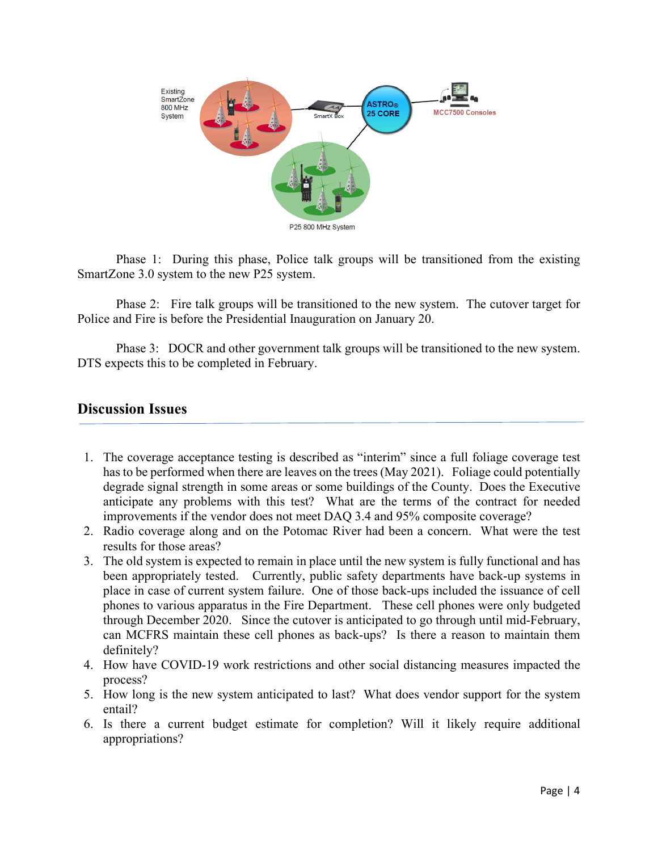

Phase 1: During this phase, Police talk groups will be transitioned from the existing SmartZone 3.0 system to the new P25 system.

Phase 2: Fire talk groups will be transitioned to the new system. The cutover target for Police and Fire is before the Presidential Inauguration on January 20.

Phase 3: DOCR and other government talk groups will be transitioned to the new system. DTS expects this to be completed in February.

#### **Discussion Issues**

- 1. The coverage acceptance testing is described as "interim" since a full foliage coverage test has to be performed when there are leaves on the trees (May 2021). Foliage could potentially degrade signal strength in some areas or some buildings of the County. Does the Executive anticipate any problems with this test? What are the terms of the contract for needed improvements if the vendor does not meet DAQ 3.4 and 95% composite coverage?
- 2. Radio coverage along and on the Potomac River had been a concern. What were the test results for those areas?
- 3. The old system is expected to remain in place until the new system is fully functional and has been appropriately tested. Currently, public safety departments have back-up systems in place in case of current system failure. One of those back-ups included the issuance of cell phones to various apparatus in the Fire Department. These cell phones were only budgeted through December 2020. Since the cutover is anticipated to go through until mid-February, can MCFRS maintain these cell phones as back-ups? Is there a reason to maintain them definitely?
- 4. How have COVID-19 work restrictions and other social distancing measures impacted the process?
- 5. How long is the new system anticipated to last? What does vendor support for the system entail?
- 6. Is there a current budget estimate for completion? Will it likely require additional appropriations?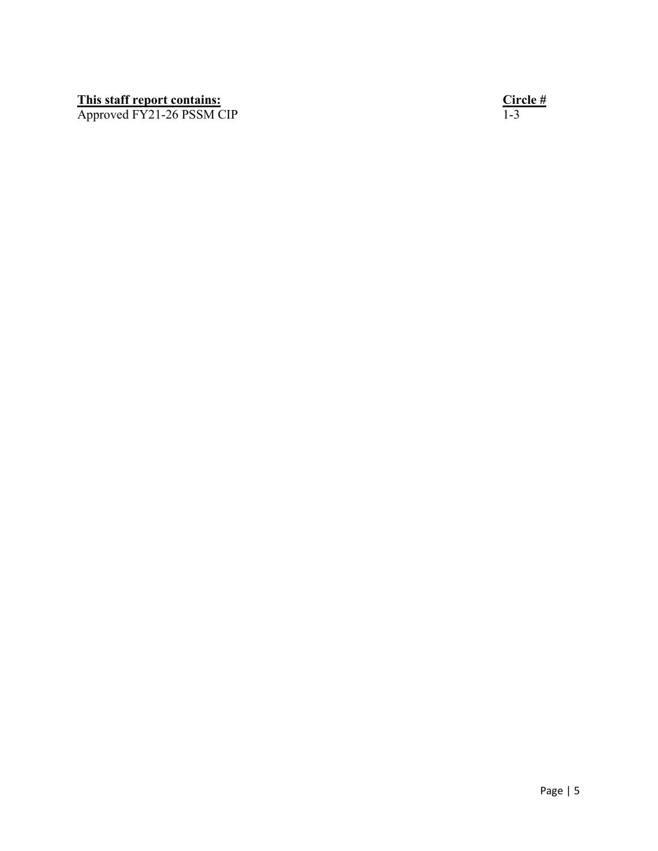#### **This staff report contains: Circle #**

Approved FY21-26 PSSM CIP 1-3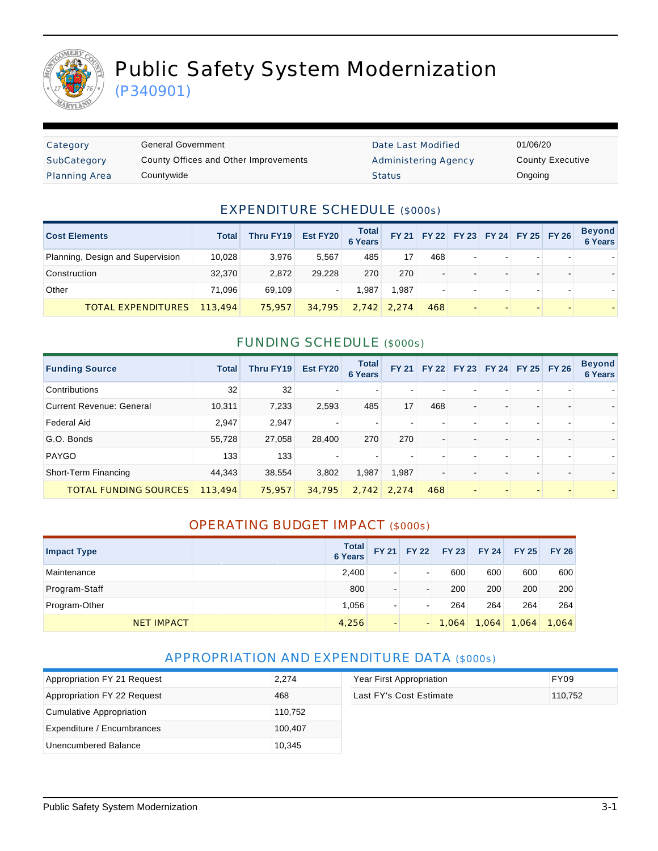

# Public Safety System Modernization

(P340901)

| Category             | General Government                    | Date Last Modified   | 01/06/20 |
|----------------------|---------------------------------------|----------------------|----------|
| SubCategory          | County Offices and Other Improvements | Administering Agency | County   |
| <b>Planning Area</b> | Countywide                            | <b>Status</b>        | Ongoing  |

Date Last Modified 01/06/20 Administering Agency **County Executive** 

### EXPENDITURE SCHEDULE (\$000s)

| <b>Cost Elements</b>             | <b>Total</b> | Thru FY19 | Est FY20 | <b>Total</b><br><b>6 Years</b> | <b>FY 21</b>  |     |                          | FY 22 FY 23 FY 24 FY 25 FY 26 | Beyond<br>6 Years |
|----------------------------------|--------------|-----------|----------|--------------------------------|---------------|-----|--------------------------|-------------------------------|-------------------|
| Planning, Design and Supervision | 10,028       | 3.976     | 5.567    | 485                            | 17            | 468 | $\overline{\phantom{0}}$ |                               |                   |
| Construction                     | 32.370       | 2.872     | 29.228   | 270                            | 270           | -   |                          |                               |                   |
| Other                            | 71.096       | 69.109    |          | 1.987                          | .987          |     |                          |                               |                   |
| <b>TOTAL EXPENDITURES</b>        | 113,494      | 75,957    | 34,795   |                                | $2.742$ 2.274 | 468 |                          |                               |                   |

### FUNDING SCHEDULE (\$000s)

| <b>Funding Source</b>           | <b>Total</b> | Thru FY19 | Est FY20 | <b>Total</b><br><b>6 Years</b> | <b>FY 21</b> |     |  | FY 22 FY 23 FY 24 FY 25 FY 26 | <b>Beyond</b><br>6 Years |
|---------------------------------|--------------|-----------|----------|--------------------------------|--------------|-----|--|-------------------------------|--------------------------|
| Contributions                   | 32           | 32        | -        |                                |              |     |  |                               |                          |
| <b>Current Revenue: General</b> | 10,311       | 7,233     | 2,593    | 485                            | 17           | 468 |  |                               |                          |
| Federal Aid                     | 2,947        | 2,947     |          |                                |              |     |  |                               |                          |
| G.O. Bonds                      | 55,728       | 27,058    | 28,400   | 270                            | 270          |     |  |                               |                          |
| PAYGO                           | 133          | 133       |          |                                |              |     |  |                               |                          |
| Short-Term Financing            | 44,343       | 38,554    | 3,802    | 1,987                          | 1,987        |     |  |                               |                          |
| <b>TOTAL FUNDING SOURCES</b>    | 113,494      | 75,957    | 34,795   | 2,742                          | 2.274        | 468 |  |                               |                          |

### OPERATING BUDGET IMPACT (\$000s)

| <b>Impact Type</b> | <b>Total</b><br><b>6 Years</b> | <b>FY 21</b>             | <b>FY 22</b>             | <b>FY 23</b> | <b>FY 24</b> | <b>FY 25</b> | <b>FY 26</b> |
|--------------------|--------------------------------|--------------------------|--------------------------|--------------|--------------|--------------|--------------|
| Maintenance        | 2,400                          | -                        | -                        | 600          | 600          | 600          | 600          |
| Program-Staff      | 800                            | ۰                        | $\blacksquare$           | 200          | 200          | 200          | 200          |
| Program-Other      | 1,056                          | -                        |                          | 264          | 264          | 264          | 264          |
| <b>NET IMPACT</b>  | 4,256                          | $\overline{\phantom{a}}$ | $\overline{\phantom{a}}$ | 1,064        | 1,064        | 1,064        | 1,064        |

### APPROPRIATION AND EXPENDITURE DATA (\$000s)

| Appropriation FY 21 Request | 2,274   | Year First Appropriation | FY09    |
|-----------------------------|---------|--------------------------|---------|
| Appropriation FY 22 Request | 468     | Last FY's Cost Estimate  | 110.752 |
| Cumulative Appropriation    | 110,752 |                          |         |
| Expenditure / Encumbrances  | 100,407 |                          |         |
| Unencumbered Balance        | 10,345  |                          |         |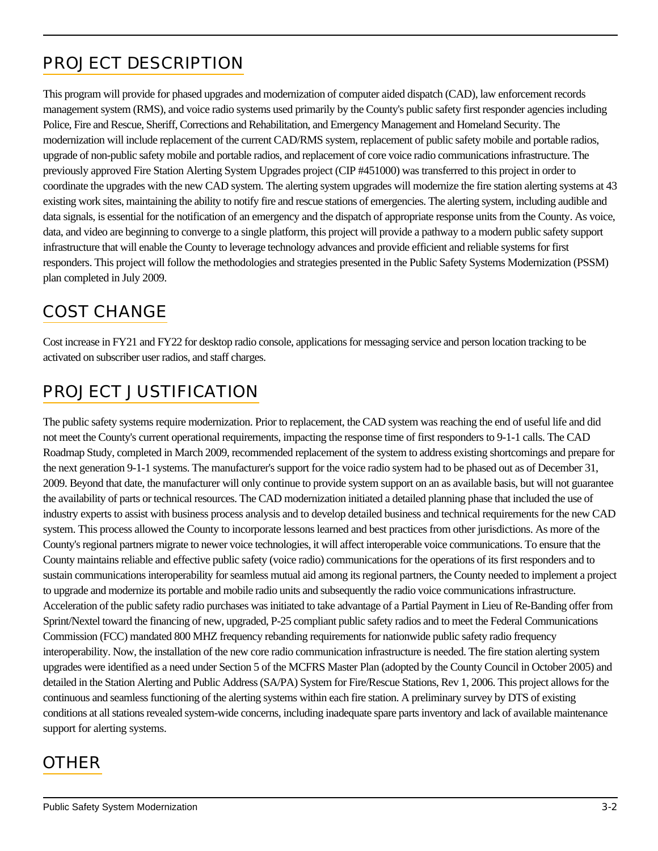# PROJECT DESCRIPTION

This program will provide for phased upgrades and modernization of computer aided dispatch (CAD), law enforcement records management system (RMS), and voice radio systems used primarily by the County's public safety first responder agencies including Police, Fire and Rescue, Sheriff, Corrections and Rehabilitation, and Emergency Management and Homeland Security. The modernization will include replacement of the current CAD/RMS system, replacement of public safety mobile and portable radios, upgrade of non-public safety mobile and portable radios, and replacement of core voice radio communications infrastructure. The previously approved Fire Station Alerting System Upgrades project (CIP #451000) was transferred to this project in order to coordinate the upgrades with the new CAD system. The alerting system upgrades will modernize the fire station alerting systems at 43 existing work sites, maintaining the ability to notify fire and rescue stations of emergencies. The alerting system, including audible and data signals, is essential for the notification of an emergency and the dispatch of appropriate response units from the County. As voice, data, and video are beginning to converge to a single platform, this project will provide a pathway to a modern public safety support infrastructure that will enable the County to leverage technology advances and provide efficient and reliable systems for first responders. This project will follow the methodologies and strategies presented in the Public Safety Systems Modernization (PSSM) plan completed in July 2009.

## COST CHANGE

Cost increase in FY21 and FY22 for desktop radio console, applications for messaging service and person location tracking to be activated on subscriber user radios, and staff charges.

# PROJECT JUSTIFICATION

The public safety systems require modernization. Prior to replacement, the CAD system was reaching the end of useful life and did not meet the County's current operational requirements, impacting the response time of first responders to 9-1-1 calls. The CAD Roadmap Study, completed in March 2009, recommended replacement of the system to address existing shortcomings and prepare for the next generation 9-1-1 systems. The manufacturer's support for the voice radio system had to be phased out as of December 31, 2009. Beyond that date, the manufacturer will only continue to provide system support on an as available basis, but will not guarantee the availability of parts or technical resources. The CAD modernization initiated a detailed planning phase that included the use of industry experts to assist with business process analysis and to develop detailed business and technical requirements for the new CAD system. This process allowed the County to incorporate lessons learned and best practices from other jurisdictions. As more of the County's regional partners migrate to newer voice technologies, it will affect interoperable voice communications. To ensure that the County maintains reliable and effective public safety (voice radio) communications for the operations of its first responders and to sustain communications interoperability for seamless mutual aid among its regional partners, the County needed to implement a project to upgrade and modernize its portable and mobile radio units and subsequently the radio voice communications infrastructure. Acceleration of the public safety radio purchases was initiated to take advantage of a Partial Payment in Lieu of Re-Banding offer from Sprint/Nextel toward the financing of new, upgraded, P-25 compliant public safety radios and to meet the Federal Communications Commission (FCC) mandated 800 MHZ frequency rebanding requirements for nationwide public safety radio frequency interoperability. Now, the installation of the new core radio communication infrastructure is needed. The fire station alerting system upgrades were identified as a need under Section 5 of the MCFRS Master Plan (adopted by the County Council in October 2005) and detailed in the Station Alerting and Public Address (SA/PA) System for Fire/Rescue Stations, Rev 1, 2006. This project allows for the continuous and seamless functioning of the alerting systems within each fire station. A preliminary survey by DTS of existing conditions at all stations revealed system-wide concerns, including inadequate spare parts inventory and lack of available maintenance support for alerting systems.

### **OTHER**